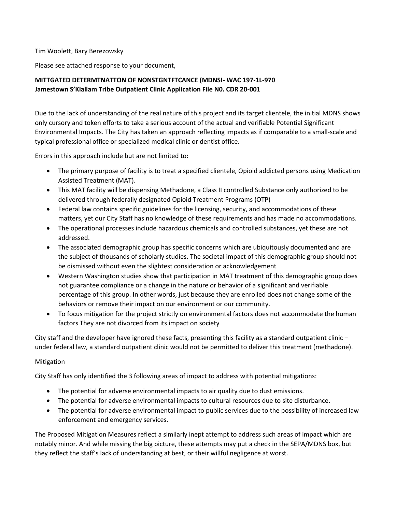Tim Woolett, Bary Berezowsky

Please see attached response to your document,

# **MITTGATED DETERMTNATTON OF NONSTGNTFTCANCE (MDNSI- WAC 197-1L-970 Jamestown S'Klallam Tribe Outpatient Clinic Application File N0. CDR 20-001**

Due to the lack of understanding of the real nature of this project and its target clientele, the initial MDNS shows only cursory and token efforts to take a serious account of the actual and verifiable Potential Significant Environmental Impacts. The City has taken an approach reflecting impacts as if comparable to a small-scale and typical professional office or specialized medical clinic or dentist office.

Errors in this approach include but are not limited to:

- The primary purpose of facility is to treat a specified clientele, Opioid addicted persons using Medication Assisted Treatment (MAT).
- This MAT facility will be dispensing Methadone, a Class II controlled Substance only authorized to be delivered through federally designated Opioid Treatment Programs (OTP)
- Federal law contains specific guidelines for the licensing, security, and accommodations of these matters, yet our City Staff has no knowledge of these requirements and has made no accommodations.
- The operational processes include hazardous chemicals and controlled substances, yet these are not addressed.
- The associated demographic group has specific concerns which are ubiquitously documented and are the subject of thousands of scholarly studies. The societal impact of this demographic group should not be dismissed without even the slightest consideration or acknowledgement
- Western Washington studies show that participation in MAT treatment of this demographic group does not guarantee compliance or a change in the nature or behavior of a significant and verifiable percentage of this group. In other words, just because they are enrolled does not change some of the behaviors or remove their impact on our environment or our community.
- To focus mitigation for the project strictly on environmental factors does not accommodate the human factors They are not divorced from its impact on society

City staff and the developer have ignored these facts, presenting this facility as a standard outpatient clinic under federal law, a standard outpatient clinic would not be permitted to deliver this treatment (methadone).

## Mitigation

City Staff has only identified the 3 following areas of impact to address with potential mitigations:

- The potential for adverse environmental impacts to air quality due to dust emissions.
- The potential for adverse environmental impacts to cultural resources due to site disturbance.
- The potential for adverse environmental impact to public services due to the possibility of increased law enforcement and emergency services.

The Proposed Mitigation Measures reflect a similarly inept attempt to address such areas of impact which are notably minor. And while missing the big picture, these attempts may put a check in the SEPA/MDNS box, but they reflect the staff's lack of understanding at best, or their willful negligence at worst.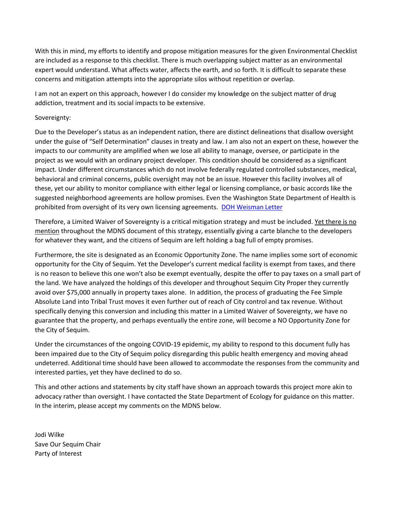With this in mind, my efforts to identify and propose mitigation measures for the given Environmental Checklist are included as a response to this checklist. There is much overlapping subject matter as an environmental expert would understand. What affects water, affects the earth, and so forth. It is difficult to separate these concerns and mitigation attempts into the appropriate silos without repetition or overlap.

I am not an expert on this approach, however I do consider my knowledge on the subject matter of drug addiction, treatment and its social impacts to be extensive.

### Sovereignty:

Due to the Developer's status as an independent nation, there are distinct delineations that disallow oversight under the guise of "Self Determination" clauses in treaty and law. I am also not an expert on these, however the impacts to our community are amplified when we lose all ability to manage, oversee, or participate in the project as we would with an ordinary project developer. This condition should be considered as a significant impact. Under different circumstances which do not involve federally regulated controlled substances, medical, behavioral and criminal concerns, public oversight may not be an issue. However this facility involves all of these, yet our ability to monitor compliance with either legal or licensing compliance, or basic accords like the suggested neighborhood agreements are hollow promises. Even the Washington State Department of Health is prohibited from oversight of its very own licensing agreements. [DOH Weisman Letter](https://8f2579f1-38b1-4f91-8058-7916b774a58b.usrfiles.com/ugd/8f2579_ac362dfb3474435fa5ae2fdbd819d187.pdf)

Therefore, a Limited Waiver of Sovereignty is a critical mitigation strategy and must be included. Yet there is no mention throughout the MDNS document of this strategy, essentially giving a carte blanche to the developers for whatever they want, and the citizens of Sequim are left holding a bag full of empty promises.

Furthermore, the site is designated as an Economic Opportunity Zone. The name implies some sort of economic opportunity for the City of Sequim. Yet the Developer's current medical facility is exempt from taxes, and there is no reason to believe this one won't also be exempt eventually, despite the offer to pay taxes on a small part of the land. We have analyzed the holdings of this developer and throughout Sequim City Proper they currently avoid over \$75,000 annually in property taxes alone. In addition, the process of graduating the Fee Simple Absolute Land into Tribal Trust moves it even further out of reach of City control and tax revenue. Without specifically denying this conversion and including this matter in a Limited Waiver of Sovereignty, we have no guarantee that the property, and perhaps eventually the entire zone, will become a NO Opportunity Zone for the City of Sequim.

Under the circumstances of the ongoing COVID-19 epidemic, my ability to respond to this document fully has been impaired due to the City of Sequim policy disregarding this public health emergency and moving ahead undeterred. Additional time should have been allowed to accommodate the responses from the community and interested parties, yet they have declined to do so.

This and other actions and statements by city staff have shown an approach towards this project more akin to advocacy rather than oversight. I have contacted the State Department of Ecology for guidance on this matter. In the interim, please accept my comments on the MDNS below.

Jodi Wilke Save Our Sequim Chair Party of Interest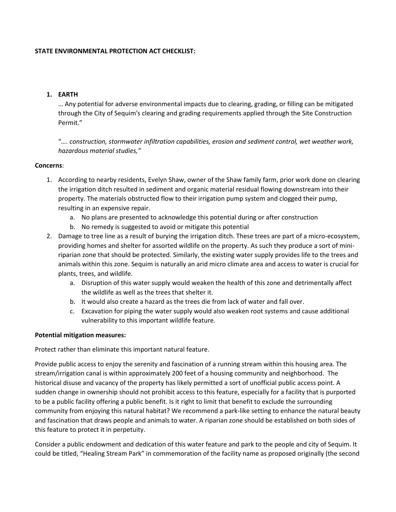### **STATE ENVIRONMENTAL PROTECTION ACT CHECKLIST:**

### **1. EARTH**

… Any potential for adverse environmental impacts due to clearing, grading, or filling can be mitigated through the City of Sequim's clearing and grading requirements applied through the Site Construction Permit."

"*…. construction, stormwater infiltration capabilities, erosion and sediment control, wet weather work, hazardous material studies,"*

### **Concerns**:

- 1. According to nearby residents, Evelyn Shaw, owner of the Shaw family farm, prior work done on clearing the irrigation ditch resulted in sediment and organic material residual flowing downstream into their property. The materials obstructed flow to their irrigation pump system and clogged their pump, resulting in an expensive repair.
	- a. No plans are presented to acknowledge this potential during or after construction
	- b. No remedy is suggested to avoid or mitigate this potential
- 2. Damage to tree line as a result of burying the irrigation ditch. These trees are part of a micro-ecosystem, providing homes and shelter for assorted wildlife on the property. As such they produce a sort of miniriparian zone that should be protected. Similarly, the existing water supply provides life to the trees and animals within this zone. Sequim is naturally an arid micro climate area and access to water is crucial for plants, trees, and wildlife.
	- a. Disruption of this water supply would weaken the health of this zone and detrimentally affect the wildlife as well as the trees that shelter it.
	- b. It would also create a hazard as the trees die from lack of water and fall over.
	- c. Excavation for piping the water supply would also weaken root systems and cause additional vulnerability to this important wildlife feature.

### **Potential mitigation measures:**

Protect rather than eliminate this important natural feature.

Provide public access to enjoy the serenity and fascination of a running stream within this housing area. The stream/irrigation canal is within approximately 200 feet of a housing community and neighborhood. The historical disuse and vacancy of the property has likely permitted a sort of unofficial public access point. A sudden change in ownership should not prohibit access to this feature, especially for a facility that is purported to be a public facility offering a public benefit. Is it right to limit that benefit to exclude the surrounding community from enjoying this natural habitat? We recommend a park-like setting to enhance the natural beauty and fascination that draws people and animals to water. A riparian zone should be established on both sides of this feature to protect it in perpetuity.

Consider a public endowment and dedication of this water feature and park to the people and city of Sequim. It could be titled, "Healing Stream Park" in commemoration of the facility name as proposed originally (the second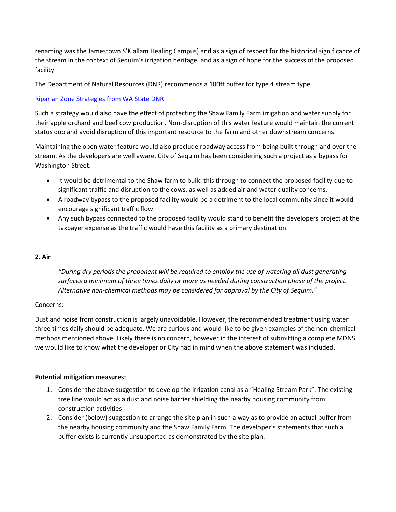renaming was the Jamestown S'Klallam Healing Campus) and as a sign of respect for the historical significance of the stream in the context of Sequim's irrigation heritage, and as a sign of hope for the success of the proposed facility.

The Department of Natural Resources (DNR) recommends a 100ft buffer for type 4 stream type

### [Riparian Zone Strategies from WA State DNR](https://www.dnr.wa.gov/Publications/lm_hcp_rfrs.pdf)

Such a strategy would also have the effect of protecting the Shaw Family Farm irrigation and water supply for their apple orchard and beef cow production. Non-disruption of this water feature would maintain the current status quo and avoid disruption of this important resource to the farm and other downstream concerns.

Maintaining the open water feature would also preclude roadway access from being built through and over the stream. As the developers are well aware, City of Sequim has been considering such a project as a bypass for Washington Street.

- It would be detrimental to the Shaw farm to build this through to connect the proposed facility due to significant traffic and disruption to the cows, as well as added air and water quality concerns.
- A roadway bypass to the proposed facility would be a detriment to the local community since it would encourage significant traffic flow.
- Any such bypass connected to the proposed facility would stand to benefit the developers project at the taxpayer expense as the traffic would have this facility as a primary destination.

### **2. Air**

*"During dry periods the proponent will be required to employ the use of watering all dust generating surfaces a minimum of three times daily or more as needed during construction phase of the project. Alternative non-chemical methods may be considered for approval by the City of Sequim."*

### Concerns:

Dust and noise from construction is largely unavoidable. However, the recommended treatment using water three times daily should be adequate. We are curious and would like to be given examples of the non-chemical methods mentioned above. Likely there is no concern, however in the interest of submitting a complete MDNS we would like to know what the developer or City had in mind when the above statement was included.

### **Potential mitigation measures:**

- 1. Consider the above suggestion to develop the irrigation canal as a "Healing Stream Park". The existing tree line would act as a dust and noise barrier shielding the nearby housing community from construction activities
- 2. Consider (below) suggestion to arrange the site plan in such a way as to provide an actual buffer from the nearby housing community and the Shaw Family Farm. The developer's statements that such a buffer exists is currently unsupported as demonstrated by the site plan.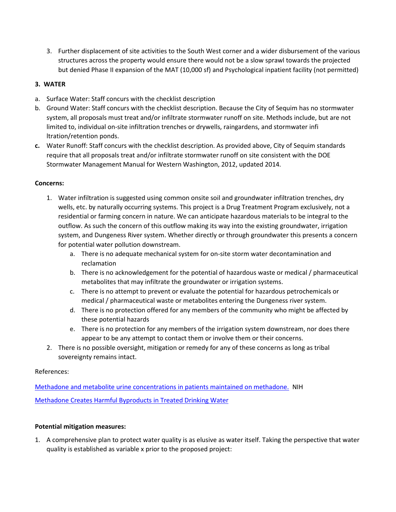3. Further displacement of site activities to the South West corner and a wider disbursement of the various structures across the property would ensure there would not be a slow sprawl towards the projected but denied Phase II expansion of the MAT (10,000 sf) and Psychological inpatient facility (not permitted)

## **3. WATER**

- a. Surface Water: Staff concurs with the checklist description
- b. Ground Water: Staff concurs with the checklist description. Because the City of Sequim has no stormwater system, all proposals must treat and/or infiltrate stormwater runoff on site. Methods include, but are not limited to, individual on-site infiltration trenches or drywells, raingardens, and stormwater infi ltration/retention ponds.
- **c.** Water Runoff: Staff concurs with the checklist description. As provided above, City of Sequim standards require that all proposals treat and/or infiltrate stormwater runoff on site consistent with the DOE Stormwater Management Manual for Western Washington, 2012, updated 2014.

### **Concerns:**

- 1. Water infiltration is suggested using common onsite soil and groundwater infiltration trenches, dry wells, etc. by naturally occurring systems. This project is a Drug Treatment Program exclusively, not a residential or farming concern in nature. We can anticipate hazardous materials to be integral to the outflow. As such the concern of this outflow making its way into the existing groundwater, irrigation system, and Dungeness River system. Whether directly or through groundwater this presents a concern for potential water pollution downstream.
	- a. There is no adequate mechanical system for on-site storm water decontamination and reclamation
	- b. There is no acknowledgement for the potential of hazardous waste or medical / pharmaceutical metabolites that may infiltrate the groundwater or irrigation systems.
	- c. There is no attempt to prevent or evaluate the potential for hazardous petrochemicals or medical / pharmaceutical waste or metabolites entering the Dungeness river system.
	- d. There is no protection offered for any members of the community who might be affected by these potential hazards
	- e. There is no protection for any members of the irrigation system downstream, nor does there appear to be any attempt to contact them or involve them or their concerns.
- 2. There is no possible oversight, mitigation or remedy for any of these concerns as long as tribal sovereignty remains intact.

## References:

[Methadone and metabolite urine concentrations in patients maintained on methadone.](https://www.ncbi.nlm.nih.gov/pubmed/14516485) NIH [Methadone Creates Harmful Byproducts in Treated Drinking Water](http://wcponline.com/2015/10/21/methadone-creates-harmful-byproducts-in-treated-drinking-water/)

## **Potential mitigation measures:**

1. A comprehensive plan to protect water quality is as elusive as water itself. Taking the perspective that water quality is established as variable x prior to the proposed project: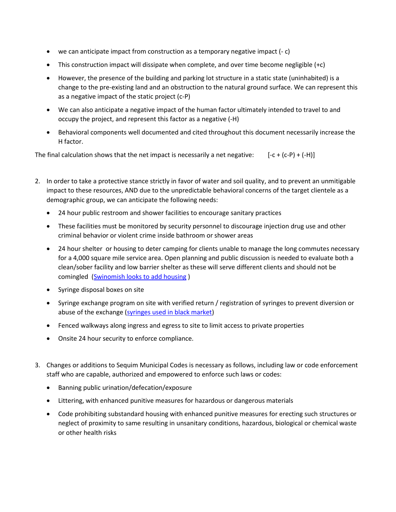- we can anticipate impact from construction as a temporary negative impact (- c)
- This construction impact will dissipate when complete, and over time become negligible  $(+c)$
- However, the presence of the building and parking lot structure in a static state (uninhabited) is a change to the pre-existing land and an obstruction to the natural ground surface. We can represent this as a negative impact of the static project (c-P)
- We can also anticipate a negative impact of the human factor ultimately intended to travel to and occupy the project, and represent this factor as a negative (-H)
- Behavioral components well documented and cited throughout this document necessarily increase the H factor.

The final calculation shows that the net impact is necessarily a net negative:  $[-c + (c-P) + (-H)]$ 

- 2. In order to take a protective stance strictly in favor of water and soil quality, and to prevent an unmitigable impact to these resources, AND due to the unpredictable behavioral concerns of the target clientele as a demographic group, we can anticipate the following needs:
	- 24 hour public restroom and shower facilities to encourage sanitary practices
	- These facilities must be monitored by security personnel to discourage injection drug use and other criminal behavior or violent crime inside bathroom or shower areas
	- 24 hour shelter or housing to deter camping for clients unable to manage the long commutes necessary for a 4,000 square mile service area. Open planning and public discussion is needed to evaluate both a clean/sober facility and low barrier shelter as these will serve different clients and should not be comingled [\(Swinomish looks to add housing](https://www.goskagit.com/anacortes/news/swinomish-looks-to-add-housing-to-didgwalic-wellness-center/article_3d220e80-5346-11ea-ac80-ef7a14b77623.html))
	- Syringe disposal boxes on site
	- Syringe exchange program on site with verified return / registration of syringes to prevent diversion or abuse of the exchange [\(syringes used in black market\)](https://www.npr.org/2015/01/03/374560431/needle-exchange-program-creates-black-market-in-clean-syringes)
	- Fenced walkways along ingress and egress to site to limit access to private properties
	- Onsite 24 hour security to enforce compliance.
- 3. Changes or additions to Sequim Municipal Codes is necessary as follows, including law or code enforcement staff who are capable, authorized and empowered to enforce such laws or codes:
	- Banning public urination/defecation/exposure
	- Littering, with enhanced punitive measures for hazardous or dangerous materials
	- Code prohibiting substandard housing with enhanced punitive measures for erecting such structures or neglect of proximity to same resulting in unsanitary conditions, hazardous, biological or chemical waste or other health risks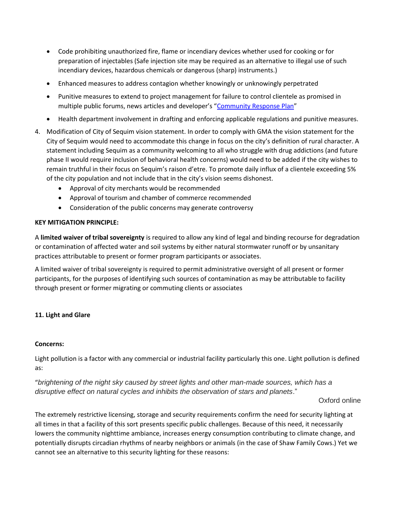- Code prohibiting unauthorized fire, flame or incendiary devices whether used for cooking or for preparation of injectables (Safe injection site may be required as an alternative to illegal use of such incendiary devices, hazardous chemicals or dangerous (sharp) instruments.)
- Enhanced measures to address contagion whether knowingly or unknowingly perpetrated
- Punitive measures to extend to project management for failure to control clientele as promised in multiple public forums, news articles and developer's "[Community Response Plan](https://jamestownhealingcampus.org/wp-content/uploads/2020/01/Community-Response-Plan-Jan-27-4842-8261-9569.pdf)"
- Health department involvement in drafting and enforcing applicable regulations and punitive measures.
- 4. Modification of City of Sequim vision statement. In order to comply with GMA the vision statement for the City of Sequim would need to accommodate this change in focus on the city's definition of rural character. A statement including Sequim as a community welcoming to all who struggle with drug addictions (and future phase II would require inclusion of behavioral health concerns) would need to be added if the city wishes to remain truthful in their focus on Sequim's raison d'etre. To promote daily influx of a clientele exceeding 5% of the city population and not include that in the city's vision seems dishonest.
	- Approval of city merchants would be recommended
	- Approval of tourism and chamber of commerce recommended
	- Consideration of the public concerns may generate controversy

### **KEY MITIGATION PRINCIPLE:**

A **limited waiver of tribal sovereignty** is required to allow any kind of legal and binding recourse for degradation or contamination of affected water and soil systems by either natural stormwater runoff or by unsanitary practices attributable to present or former program participants or associates.

A limited waiver of tribal sovereignty is required to permit administrative oversight of all present or former participants, for the purposes of identifying such sources of contamination as may be attributable to facility through present or former migrating or commuting clients or associates

### **11. Light and Glare**

### **Concerns:**

Light pollution is a factor with any commercial or industrial facility particularly this one. Light pollution is defined as:

"*brightening of the night sky caused by street lights and other man-made sources, which has a disruptive effect on natural cycles and inhibits the observation of stars and planets*."

Oxford online

The extremely restrictive licensing, storage and security requirements confirm the need for security lighting at all times in that a facility of this sort presents specific public challenges. Because of this need, it necessarily lowers the community nighttime ambiance, increases energy consumption contributing to climate change, and potentially disrupts circadian rhythms of nearby neighbors or animals (in the case of Shaw Family Cows.) Yet we cannot see an alternative to this security lighting for these reasons: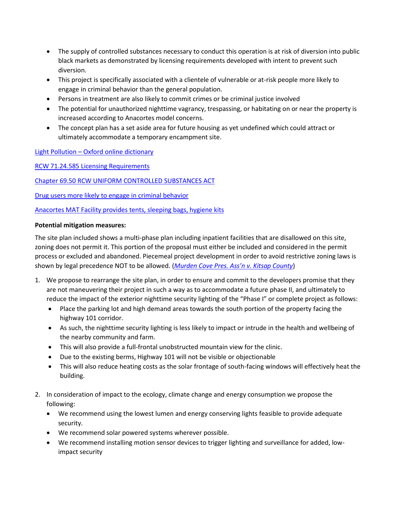- The supply of controlled substances necessary to conduct this operation is at risk of diversion into public black markets as demonstrated by licensing requirements developed with intent to prevent such diversion.
- This project is specifically associated with a clientele of vulnerable or at-risk people more likely to engage in criminal behavior than the general population.
- Persons in treatment are also likely to commit crimes or be criminal justice involved
- The potential for unauthorized nighttime vagrancy, trespassing, or habitating on or near the property is increased according to Anacortes model concerns.
- The concept plan has a set aside area for future housing as yet undefined which could attract or ultimately accommodate a temporary encampment site.

Light Pollution – [Oxford online dictionary](https://www.lexico.com/definition/light_pollution)

[RCW 71.24.585 Licensing Requirements](https://apps.leg.wa.gov/rcw/default.aspx?cite=71.24.585)

Chapter 69.50 [RCW UNIFORM CONTROLLED SUBSTANCES ACT](https://app.leg.wa.gov/RCW/default.aspx?cite=69.50)

[Drug users more likely to engage in criminal behavior](https://www.researchgate.net/profile/Trevor_Bennett2/publication/223551712_The_Statistical_Association_between_Drug_Misuse_and_Crime_A_Meta-analysis/links/59df23b0aca27247d7aa8261/The-Statistical-Association-between-Drug-Misuse-and-Crime-A-Meta-analysis.pdf)

[Anacortes MAT Facility provides tents, sleeping bags, hygiene kits](https://www.goskagit.com/news/local_news/swinomish-wellness-center-shares-successes-challenges/article_ed1469ae-f730-542e-bfd0-8d1db2db66b0.html?fbclid=IwAR0z24Q4rIZG1lTUlPa1ny86KnZZBPKylqntBM_06AOCVDA_90oY5H8537U)

### **Potential mitigation measures:**

The site plan included shows a multi-phase plan including inpatient facilities that are disallowed on this site, zoning does not permit it. This portion of the proposal must either be included and considered in the permit process or excluded and abandoned. Piecemeal project development in order to avoid restrictive zoning laws is shown by legal precedence NOT to be allowed. (*Murden C[ove Pres. Ass'n v. Kitsap County](https://b64a87f6-14ec-4eec-8fb5-67cdcaa42cb3.filesusr.com/ugd/8f2579_a7f5916a50c04644bccdbf3453ed4e2c.pdf)*)

- 1. We propose to rearrange the site plan, in order to ensure and commit to the developers promise that they are not maneuvering their project in such a way as to accommodate a future phase II, and ultimately to reduce the impact of the exterior nighttime security lighting of the "Phase I" or complete project as follows:
	- Place the parking lot and high demand areas towards the south portion of the property facing the highway 101 corridor.
	- As such, the nighttime security lighting is less likely to impact or intrude in the health and wellbeing of the nearby community and farm.
	- This will also provide a full-frontal unobstructed mountain view for the clinic.
	- Due to the existing berms, Highway 101 will not be visible or objectionable
	- This will also reduce heating costs as the solar frontage of south-facing windows will effectively heat the building.
- 2. In consideration of impact to the ecology, climate change and energy consumption we propose the following:
	- We recommend using the lowest lumen and energy conserving lights feasible to provide adequate security.
	- We recommend solar powered systems wherever possible.
	- We recommend installing motion sensor devices to trigger lighting and surveillance for added, lowimpact security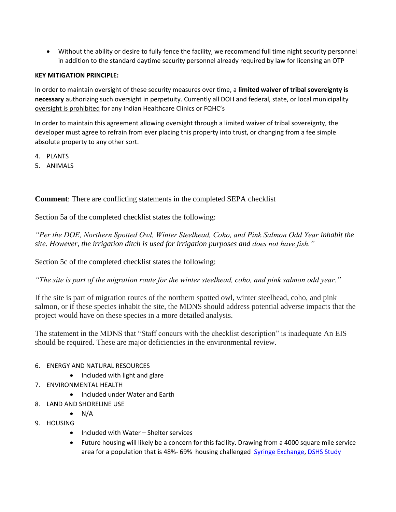• Without the ability or desire to fully fence the facility, we recommend full time night security personnel in addition to the standard daytime security personnel already required by law for licensing an OTP

## **KEY MITIGATION PRINCIPLE:**

In order to maintain oversight of these security measures over time, a **limited waiver of tribal sovereignty is necessary** authorizing such oversight in perpetuity. Currently all DOH and federal, state, or local municipality oversight is prohibited for any Indian Healthcare Clinics or FQHC's

In order to maintain this agreement allowing oversight through a limited waiver of tribal sovereignty, the developer must agree to refrain from ever placing this property into trust, or changing from a fee simple absolute property to any other sort.

- 4. PLANTS
- 5. ANIMALS

**Comment**: There are conflicting statements in the completed SEPA checklist

Section 5a of the completed checklist states the following:

*"Per the DOE, Northern Spotted Owl, Winter Steelhead, Coho, and Pink Salmon Odd Year inhabit the site. However, the irrigation ditch is used for irrigation purposes and does not have fish."*

Section 5c of the completed checklist states the following:

*"The site is part of the migration route for the winter steelhead, coho, and pink salmon odd year."*

If the site is part of migration routes of the northern spotted owl, winter steelhead, coho, and pink salmon, or if these species inhabit the site, the MDNS should address potential adverse impacts that the project would have on these species in a more detailed analysis.

The statement in the MDNS that "Staff concurs with the checklist description" is inadequate An EIS should be required. These are major deficiencies in the environmental review.

## 6. ENERGY AND NATURAL RESOURCES

- Included with light and glare
- 7. ENVIRONMENTAL HEALTH
	- Included under Water and Earth
- 8. LAND AND SHORELINE USE
- $\bullet$  N/A 9. HOUSING
	- Included with Water Shelter services
	- Future housing will likely be a concern for this facility. Drawing from a 4000 square mile service area for a population that is 48%- 69% housing challenged [Syringe Exchange,](https://adai.uw.edu/pubs/pdf/2017syringeexchangehealthsurvey.pdf) [DSHS Study](https://www.dshs.wa.gov/sites/default/files/rda/reports/research-4-102.pdf)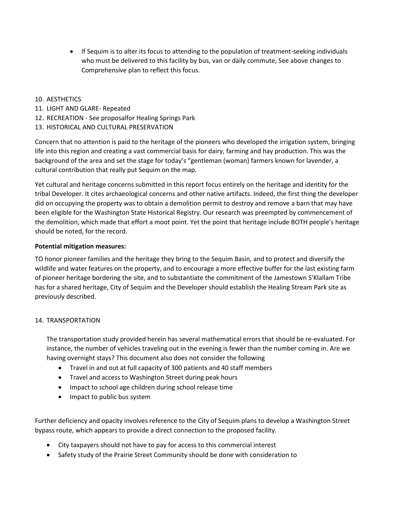• If Sequim is to alter its focus to attending to the population of treatment-seeking individuals who must be delivered to this facility by bus, van or daily commute, See above changes to Comprehensive plan to reflect this focus.

### 10. AESTHETICS

- 11. LIGHT AND GLARE- Repeated
- 12. RECREATION See proposalfor Healing Springs Park
- 13. HISTORICAL AND CULTURAL PRESERVATION

Concern that no attention is paid to the heritage of the pioneers who developed the irrigation system, bringing life into this region and creating a vast commercial basis for dairy, farming and hay production. This was the background of the area and set the stage for today's "gentleman (woman) farmers known for lavender, a cultural contribution that really put Sequim on the map.

Yet cultural and heritage concerns submitted in this report focus entirely on the heritage and identity for the tribal Developer. It cites archaeological concerns and other native artifacts. Indeed, the first thing the developer did on occupying the property was to obtain a demolition permit to destroy and remove a barn that may have been eligible for the Washington State Historical Registry. Our research was preempted by commencement of the demolition, which made that effort a moot point. Yet the point that heritage include BOTH people's heritage should be noted, for the record.

### **Potential mitigation measures:**

TO honor pioneer families and the heritage they bring to the Sequim Basin, and to protect and diversify the wildlife and water features on the property, and to encourage a more effective buffer for the last existing farm of pioneer heritage bordering the site, and to substantiate the commitment of the Jamestown S'Klallam Tribe has for a shared heritage, City of Sequim and the Developer should establish the Healing Stream Park site as previously described.

### 14. TRANSPORTATION

The transportation study provided herein has several mathematical errors that should be re-evaluated. For instance, the number of vehicles traveling out in the evening is fewer than the number coming in. Are we having overnight stays? This document also does not consider the following

- Travel in and out at full capacity of 300 patients and 40 staff members
- Travel and access to Washington Street during peak hours
- Impact to school age children during school release time
- Impact to public bus system

Further deficiency and opacity involves reference to the City of Sequim plans to develop a Washington Street bypass route, which appears to provide a direct connection to the proposed facility.

- City taxpayers should not have to pay for access to this commercial interest
- Safety study of the Prairie Street Community should be done with consideration to